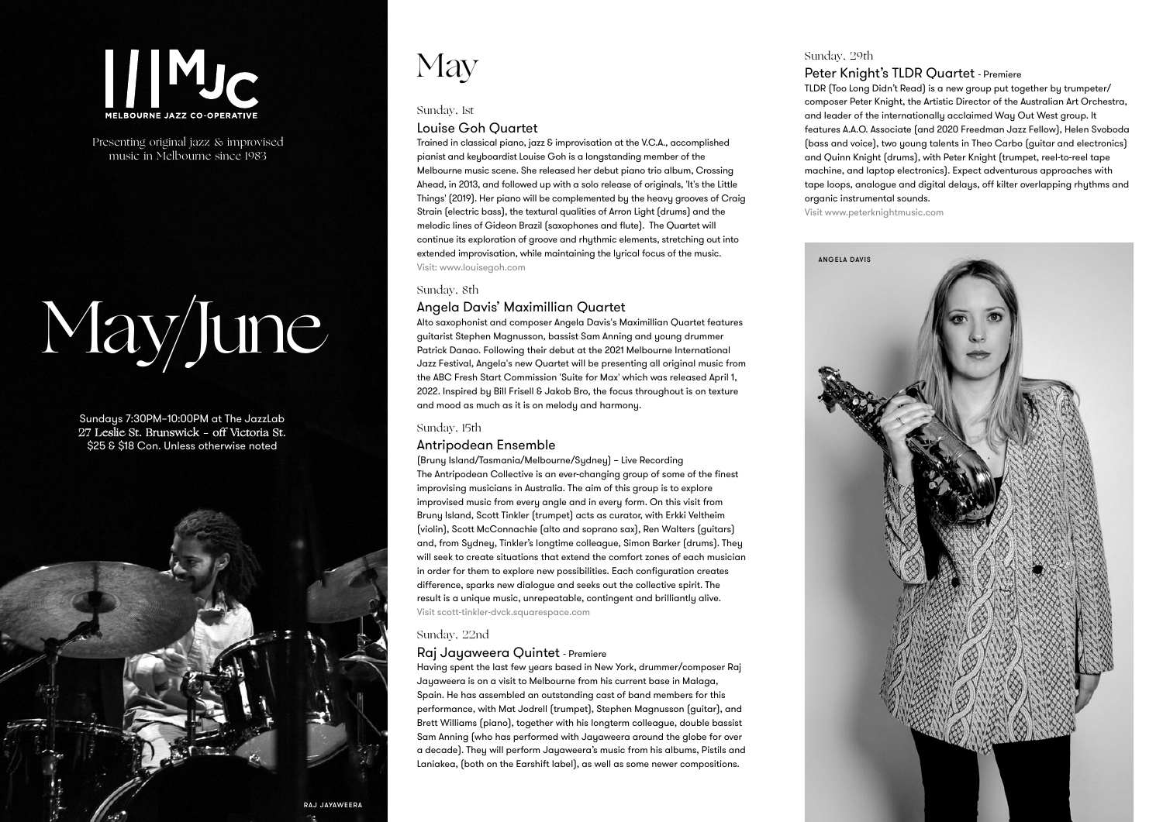## $|||$ MJ $_{\rm C}$

Presenting original jazz & improvised music in Melbourne since 1983

# May/June

Sundays 7:30PM–10:00PM at The JazzLab 27 Leslie St. Brunswick – off Victoria St. \$25 & \$18 Con. Unless otherwise noted



## **May**

#### Sunday, 1st

#### Louise Goh Quartet

Trained in classical piano, jazz & improvisation at the V.C.A., accomplished pianist and keyboardist Louise Goh is a longstanding member of the Melbourne music scene. She released her debut piano trio album, Crossing Ahead, in 2013, and followed up with a solo release of originals, 'It's the Little Things' (2019). Her piano will be complemented by the heavy grooves of Craig Strain (electric bass), the textural qualities of Arron Light (drums) and the melodic lines of Gideon Brazil (saxophones and flute). The Quartet will continue its exploration of groove and rhythmic elements, stretching out into extended improvisation, while maintaining the lyrical focus of the music. Visit: www.louisegoh.com

#### Sunday, 8th

#### Angela Davis' Maximillian Quartet

Alto saxophonist and composer Angela Davis's Maximillian Quartet features guitarist Stephen Magnusson, bassist Sam Anning and young drummer Patrick Danao. Following their debut at the 2021 Melbourne International Jazz Festival, Angela's new Quartet will be presenting all original music from the ABC Fresh Start Commission 'Suite for Max' which was released April 1, 2022. Inspired by Bill Frisell & Jakob Bro, the focus throughout is on texture and mood as much as it is on melody and harmony.

#### Sunday, 15th

#### Antripodean Ensemble

(Bruny Island/Tasmania/Melbourne/Sydney) – Live Recording The Antripodean Collective is an ever-changing group of some of the finest improvising musicians in Australia. The aim of this group is to explore improvised music from every angle and in every form. On this visit from Bruny Island, Scott Tinkler (trumpet) acts as curator, with Erkki Veltheim (violin), Scott McConnachie (alto and soprano sax), Ren Walters (guitars) and, from Sydney, Tinkler's longtime colleague, Simon Barker (drums). They will seek to create situations that extend the comfort zones of each musician in order for them to explore new possibilities. Each configuration creates difference, sparks new dialogue and seeks out the collective spirit. The result is a unique music, unrepeatable, contingent and brilliantly alive. Visit scott-tinkler-dvck.squarespace.com

#### Sunday, 22nd

#### Raj Jayaweera Quintet - Premiere

Having spent the last few years based in New York, drummer/composer Raj Jayaweera is on a visit to Melbourne from his current base in Malaga, Spain. He has assembled an outstanding cast of band members for this performance, with Mat Jodrell (trumpet), Stephen Magnusson (guitar), and Brett Williams (piano), together with his longterm colleague, double bassist Sam Anning (who has performed with Jayaweera around the globe for over a decade). They will perform Jayaweera's music from his albums, Pistils and Laniakea, (both on the Earshift label), as well as some newer compositions.

### Sunday, 29th

#### Peter Knight's TLDR Quartet - Premiere

TLDR (Too Long Didn't Read) is a new group put together by trumpeter/ composer Peter Knight, the Artistic Director of the Australian Art Orchestra, and leader of the internationally acclaimed Way Out West group. It features A.A.O. Associate (and 2020 Freedman Jazz Fellow), Helen Svoboda (bass and voice), two young talents in Theo Carbo (guitar and electronics) and Quinn Knight (drums), with Peter Knight (trumpet, reel-to-reel tape machine, and laptop electronics). Expect adventurous approaches with tape loops, analogue and digital delays, off kilter overlapping rhythms and organic instrumental sounds.

Visit www.peterknightmusic.com